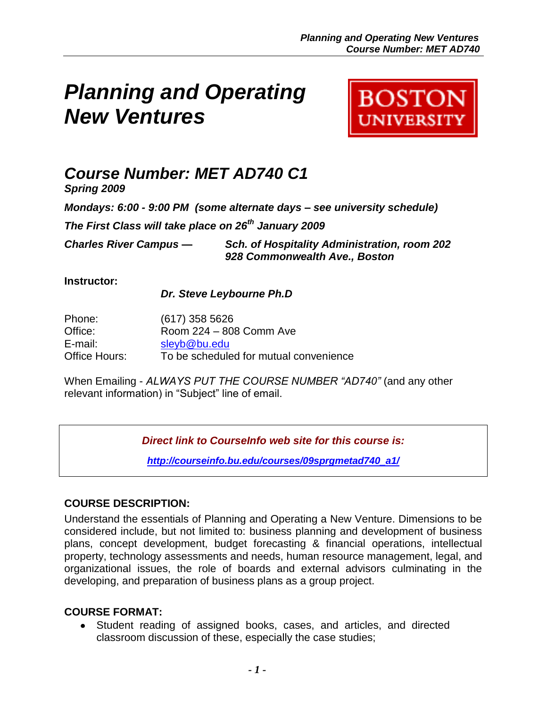# *Planning and Operating New Ventures*



## *Course Number: MET AD740 C1*

*Spring 2009*

*Mondays: 6:00 - 9:00 PM (some alternate days – see university schedule)*

*The First Class will take place on 26th January 2009*

*Charles River Campus — Sch. of Hospitality Administration, room 202 928 Commonwealth Ave., Boston*

## **Instructor:**

*Dr. Steve Leybourne Ph.D*

| Phone:        | $(617)$ 358 5626                       |
|---------------|----------------------------------------|
| Office:       | Room 224 - 808 Comm Ave                |
| E-mail:       | sleyb@bu.edu                           |
| Office Hours: | To be scheduled for mutual convenience |

When Emailing - *ALWAYS PUT THE COURSE NUMBER "AD740"* (and any other relevant information) in "Subject" line of email.

*Direct link to CourseInfo web site for this course is:*

*[http://courseinfo.bu.edu/courses/09sprgmetad740\\_a1/](http://courseinfo.bu.edu/courses/09sprgmetad740_a1/)*

## **COURSE DESCRIPTION:**

Understand the essentials of Planning and Operating a New Venture. Dimensions to be considered include, but not limited to: business planning and development of business plans, concept development, budget forecasting & financial operations, intellectual property, technology assessments and needs, human resource management, legal, and organizational issues, the role of boards and external advisors culminating in the developing, and preparation of business plans as a group project.

## **COURSE FORMAT:**

Student reading of assigned books, cases, and articles, and directed classroom discussion of these, especially the case studies;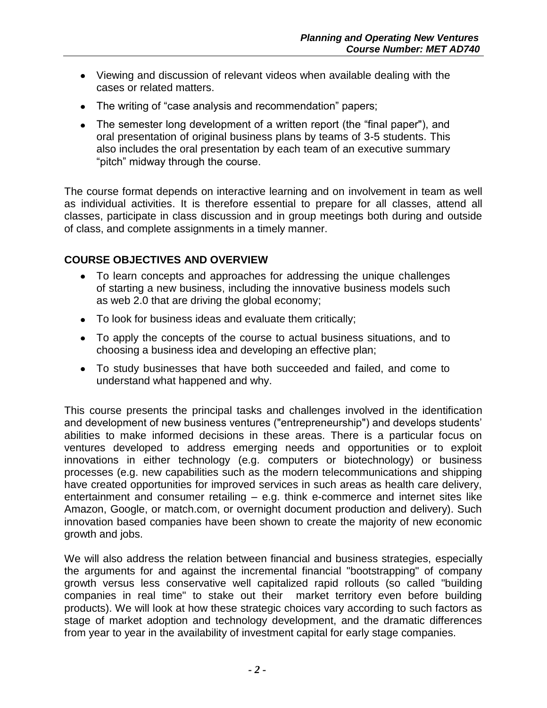- Viewing and discussion of relevant videos when available dealing with the cases or related matters.
- The writing of "case analysis and recommendation" papers;
- The semester long development of a written report (the "final paper"), and oral presentation of original business plans by teams of 3-5 students. This also includes the oral presentation by each team of an executive summary "pitch" midway through the course.

The course format depends on interactive learning and on involvement in team as well as individual activities. It is therefore essential to prepare for all classes, attend all classes, participate in class discussion and in group meetings both during and outside of class, and complete assignments in a timely manner.

## **COURSE OBJECTIVES AND OVERVIEW**

- To learn concepts and approaches for addressing the unique challenges of starting a new business, including the innovative business models such as web 2.0 that are driving the global economy;
- To look for business ideas and evaluate them critically;
- To apply the concepts of the course to actual business situations, and to choosing a business idea and developing an effective plan;
- To study businesses that have both succeeded and failed, and come to understand what happened and why.

This course presents the principal tasks and challenges involved in the identification and development of new business ventures ("entrepreneurship") and develops students" abilities to make informed decisions in these areas. There is a particular focus on ventures developed to address emerging needs and opportunities or to exploit innovations in either technology (e.g. computers or biotechnology) or business processes (e.g. new capabilities such as the modern telecommunications and shipping have created opportunities for improved services in such areas as health care delivery, entertainment and consumer retailing – e.g. think e-commerce and internet sites like Amazon, Google, or match.com, or overnight document production and delivery). Such innovation based companies have been shown to create the majority of new economic growth and jobs.

We will also address the relation between financial and business strategies, especially the arguments for and against the incremental financial "bootstrapping" of company growth versus less conservative well capitalized rapid rollouts (so called "building companies in real time" to stake out their market territory even before building products). We will look at how these strategic choices vary according to such factors as stage of market adoption and technology development, and the dramatic differences from year to year in the availability of investment capital for early stage companies.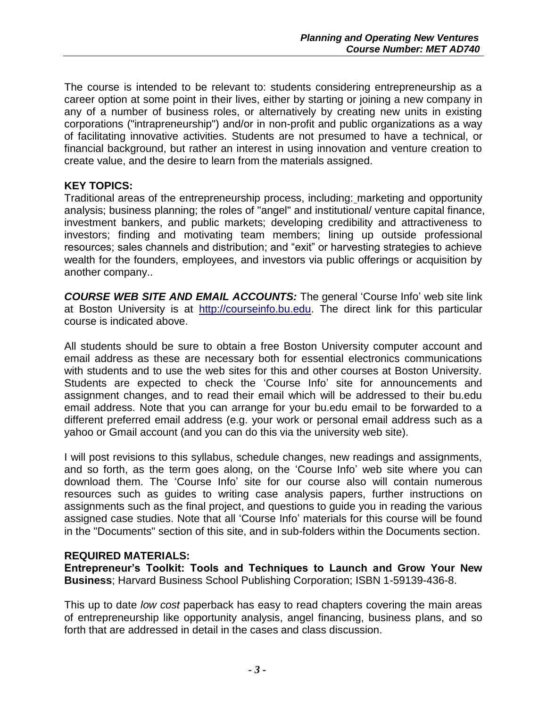The course is intended to be relevant to: students considering entrepreneurship as a career option at some point in their lives, either by starting or joining a new company in any of a number of business roles, or alternatively by creating new units in existing corporations ("intrapreneurship") and/or in non-profit and public organizations as a way of facilitating innovative activities. Students are not presumed to have a technical, or financial background, but rather an interest in using innovation and venture creation to create value, and the desire to learn from the materials assigned.

## **KEY TOPICS:**

Traditional areas of the entrepreneurship process, including: marketing and opportunity analysis; business planning; the roles of "angel" and institutional/ venture capital finance, investment bankers, and public markets; developing credibility and attractiveness to investors; finding and motivating team members; lining up outside professional resources; sales channels and distribution; and "exit" or harvesting strategies to achieve wealth for the founders, employees, and investors via public offerings or acquisition by another company..

*COURSE WEB SITE AND EMAIL ACCOUNTS:* The general "Course Info" web site link at Boston University is at [http://courseinfo.bu.edu.](http://courseinfo.bu.edu/) The direct link for this particular course is indicated above.

All students should be sure to obtain a free Boston University computer account and email address as these are necessary both for essential electronics communications with students and to use the web sites for this and other courses at Boston University. Students are expected to check the "Course Info" site for announcements and assignment changes, and to read their email which will be addressed to their bu.edu email address. Note that you can arrange for your bu.edu email to be forwarded to a different preferred email address (e.g. your work or personal email address such as a yahoo or Gmail account (and you can do this via the university web site).

I will post revisions to this syllabus, schedule changes, new readings and assignments, and so forth, as the term goes along, on the "Course Info" web site where you can download them. The "Course Info" site for our course also will contain numerous resources such as guides to writing case analysis papers, further instructions on assignments such as the final project, and questions to guide you in reading the various assigned case studies. Note that all "Course Info" materials for this course will be found in the "Documents" section of this site, and in sub-folders within the Documents section.

## **REQUIRED MATERIALS:**

**Entrepreneur's Toolkit: Tools and Techniques to Launch and Grow Your New Business**; Harvard Business School Publishing Corporation; ISBN 1-59139-436-8.

This up to date *low cost* paperback has easy to read chapters covering the main areas of entrepreneurship like opportunity analysis, angel financing, business plans, and so forth that are addressed in detail in the cases and class discussion.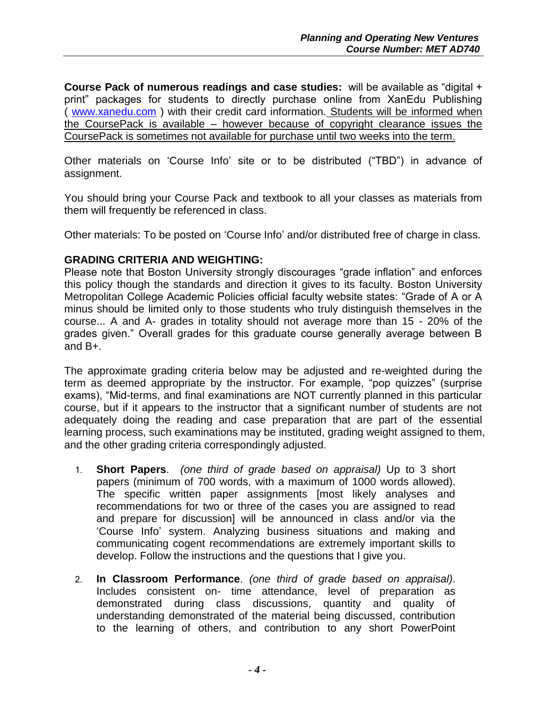**Course Pack of numerous readings and case studies:** will be available as "digital + print" packages for students to directly purchase online from XanEdu Publishing ( [www.xanedu.com](http://www.xanedu.com/) ) with their credit card information. Students will be informed when the CoursePack is available – however because of copyright clearance issues the CoursePack is sometimes not available for purchase until two weeks into the term.

Other materials on "Course Info" site or to be distributed ("TBD") in advance of assignment.

You should bring your Course Pack and textbook to all your classes as materials from them will frequently be referenced in class.

Other materials: To be posted on "Course Info" and/or distributed free of charge in class.

## **GRADING CRITERIA AND WEIGHTING:**

Please note that Boston University strongly discourages "grade inflation" and enforces this policy though the standards and direction it gives to its faculty. Boston University Metropolitan College Academic Policies official faculty website states: "Grade of A or A minus should be limited only to those students who truly distinguish themselves in the course... A and A- grades in totality should not average more than 15 - 20% of the grades given." Overall grades for this graduate course generally average between B and B+.

The approximate grading criteria below may be adjusted and re-weighted during the term as deemed appropriate by the instructor. For example, "pop quizzes" (surprise exams), "Mid-terms, and final examinations are NOT currently planned in this particular course, but if it appears to the instructor that a significant number of students are not adequately doing the reading and case preparation that are part of the essential learning process, such examinations may be instituted, grading weight assigned to them, and the other grading criteria correspondingly adjusted.

- 1. **Short Papers**. *(one third of grade based on appraisal)* Up to 3 short papers (minimum of 700 words, with a maximum of 1000 words allowed). The specific written paper assignments [most likely analyses and recommendations for two or three of the cases you are assigned to read and prepare for discussion] will be announced in class and/or via the "Course Info" system. Analyzing business situations and making and communicating cogent recommendations are extremely important skills to develop. Follow the instructions and the questions that I give you.
- 2. **In Classroom Performance**. *(one third of grade based on appraisal)*. Includes consistent on- time attendance, level of preparation as demonstrated during class discussions, quantity and quality of understanding demonstrated of the material being discussed, contribution to the learning of others, and contribution to any short PowerPoint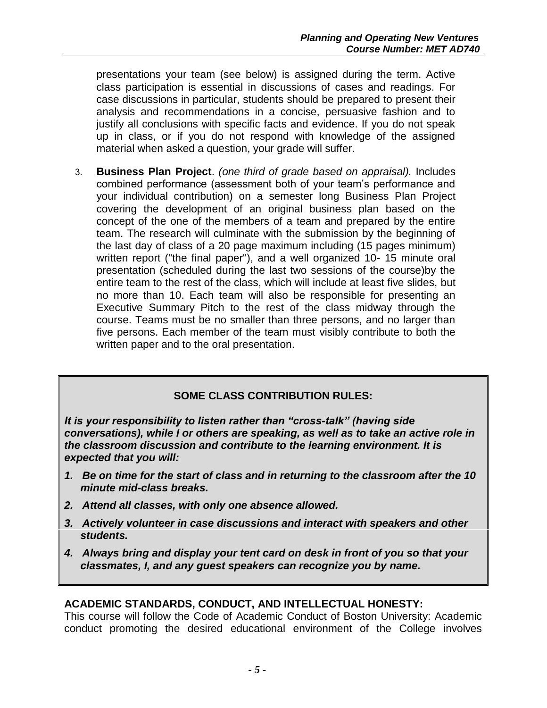presentations your team (see below) is assigned during the term. Active class participation is essential in discussions of cases and readings. For case discussions in particular, students should be prepared to present their analysis and recommendations in a concise, persuasive fashion and to justify all conclusions with specific facts and evidence. If you do not speak up in class, or if you do not respond with knowledge of the assigned material when asked a question, your grade will suffer.

3. **Business Plan Project**. *(one third of grade based on appraisal).* Includes combined performance (assessment both of your team"s performance and your individual contribution) on a semester long Business Plan Project covering the development of an original business plan based on the concept of the one of the members of a team and prepared by the entire team. The research will culminate with the submission by the beginning of the last day of class of a 20 page maximum including (15 pages minimum) written report ("the final paper"), and a well organized 10- 15 minute oral presentation (scheduled during the last two sessions of the course)by the entire team to the rest of the class, which will include at least five slides, but no more than 10. Each team will also be responsible for presenting an Executive Summary Pitch to the rest of the class midway through the course. Teams must be no smaller than three persons, and no larger than five persons. Each member of the team must visibly contribute to both the written paper and to the oral presentation.

## **SOME CLASS CONTRIBUTION RULES:**

*It is your responsibility to listen rather than "cross-talk" (having side conversations), while I or others are speaking, as well as to take an active role in the classroom discussion and contribute to the learning environment. It is expected that you will:*

- *1. Be on time for the start of class and in returning to the classroom after the 10 minute mid-class breaks.*
- *2. Attend all classes, with only one absence allowed.*
- *3. Actively volunteer in case discussions and interact with speakers and other students.*
- *4. Always bring and display your tent card on desk in front of you so that your classmates, I, and any guest speakers can recognize you by name.*

## **ACADEMIC STANDARDS, CONDUCT, AND INTELLECTUAL HONESTY:**

This course will follow the Code of Academic Conduct of Boston University: Academic conduct promoting the desired educational environment of the College involves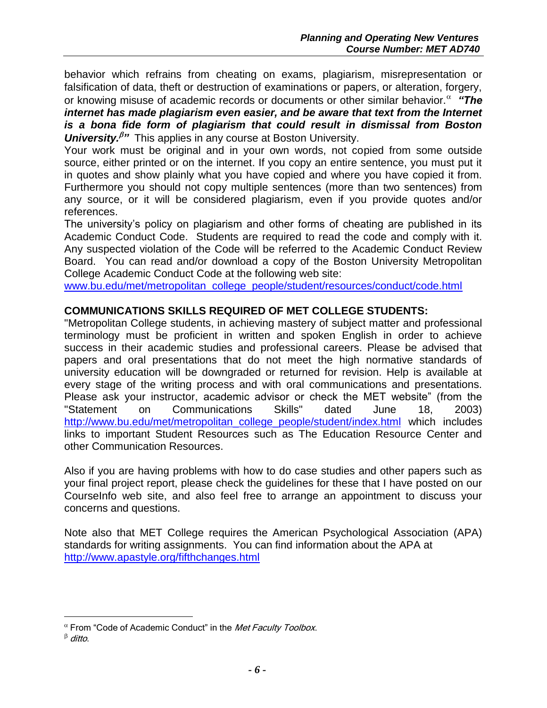behavior which refrains from cheating on exams, plagiarism, misrepresentation or falsification of data, theft or destruction of examinations or papers, or alteration, forgery, or knowing misuse of academic records or documents or other similar behavior. <sup>a</sup> "The

*internet has made plagiarism even easier, and be aware that text from the Internet is a bona fide form of plagiarism that could result in dismissal from Boston University.*<sup>*B*</sup> This applies in any course at Boston University.

Your work must be original and in your own words, not copied from some outside source, either printed or on the internet. If you copy an entire sentence, you must put it in quotes and show plainly what you have copied and where you have copied it from. Furthermore you should not copy multiple sentences (more than two sentences) from any source, or it will be considered plagiarism, even if you provide quotes and/or references.

The university"s policy on plagiarism and other forms of cheating are published in its Academic Conduct Code. Students are required to read the code and comply with it. Any suspected violation of the Code will be referred to the Academic Conduct Review Board. You can read and/or download a copy of the Boston University Metropolitan College Academic Conduct Code at the following web site:

[www.bu.edu/met/metropolitan\\_college\\_people/student/resources/conduct/code.html](http://www.bu.edu/met/metropolitan_college_people/student/resources/conduct/code.html)

## **COMMUNICATIONS SKILLS REQUIRED OF MET COLLEGE STUDENTS:**

"Metropolitan College students, in achieving mastery of subject matter and professional terminology must be proficient in written and spoken English in order to achieve success in their academic studies and professional careers. Please be advised that papers and oral presentations that do not meet the high normative standards of university education will be downgraded or returned for revision. Help is available at every stage of the writing process and with oral communications and presentations. Please ask your instructor, academic advisor or check the MET website" (from the "Statement on Communications Skills" dated June 18, 2003) [http://www.bu.edu/met/metropolitan\\_college\\_people/student/index.html](http://www.bu.edu/met/metropolitan_college_people/student/index.html) which includes links to important Student Resources such as The Education Resource Center and other Communication Resources.

Also if you are having problems with how to do case studies and other papers such as your final project report, please check the guidelines for these that I have posted on our CourseInfo web site, and also feel free to arrange an appointment to discuss your concerns and questions.

Note also that MET College requires the American Psychological Association (APA) standards for writing assignments. You can find information about the APA at <http://www.apastyle.org/fifthchanges.html>

 $\overline{a}$ 

 $\alpha$  From "Code of Academic Conduct" in the Met Faculty Toolbox.

 $\beta$  ditto.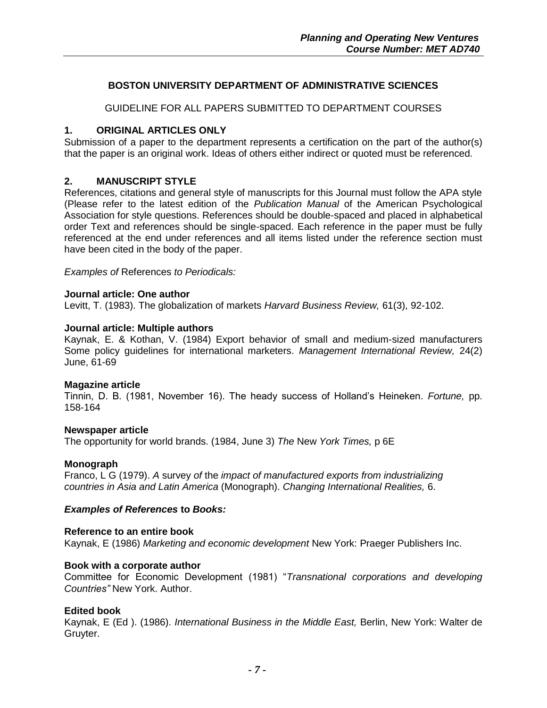#### **BOSTON UNIVERSITY DEPARTMENT OF ADMINISTRATIVE SCIENCES**

GUIDELINE FOR ALL PAPERS SUBMITTED TO DEPARTMENT COURSES

#### **1. ORIGINAL ARTICLES ONLY**

Submission of a paper to the department represents a certification on the part of the author(s) that the paper is an original work. Ideas of others either indirect or quoted must be referenced.

#### **2. MANUSCRIPT STYLE**

References, citations and general style of manuscripts for this Journal must follow the APA style (Please refer to the latest edition of the *Publication Manual* of the American Psychological Association for style questions. References should be double-spaced and placed in alphabetical order Text and references should be single-spaced. Each reference in the paper must be fully referenced at the end under references and all items listed under the reference section must have been cited in the body of the paper.

*Examples of* References *to Periodicals:*

#### **Journal article: One author**

Levitt, T. (1983). The globalization of markets *Harvard Business Review,* 61(3), 92-102.

#### **Journal article: Multiple authors**

Kaynak, E. & Kothan, V. (1984) Export behavior of small and medium-sized manufacturers Some policy guidelines for international marketers. *Management International Review,* 24(2) June, 61-69

#### **Magazine article**

Tinnin, D. B. (1981, November 16). The heady success of Holland"s Heineken. *Fortune,* pp. 158-164

#### **Newspaper article**

The opportunity for world brands. (1984, June 3) *The* New *York Times,* p 6E

#### **Monograph**

Franco, L G (1979). *A* survey *of* the *impact of manufactured exports from industrializing countries in Asia and Latin America* (Monograph). *Changing International Realities,* 6.

#### *Examples of References* **to** *Books:*

#### **Reference to an entire book**

Kaynak, E (1986) *Marketing and economic development* New York: Praeger Publishers Inc.

#### **Book with a corporate author**

Committee for Economic Development (1981) "*Transnational corporations and developing Countries"* New York. Author.

#### **Edited book**

Kaynak, E (Ed ). (1986). *International Business in the Middle East,* Berlin, New York: Walter de Gruyter.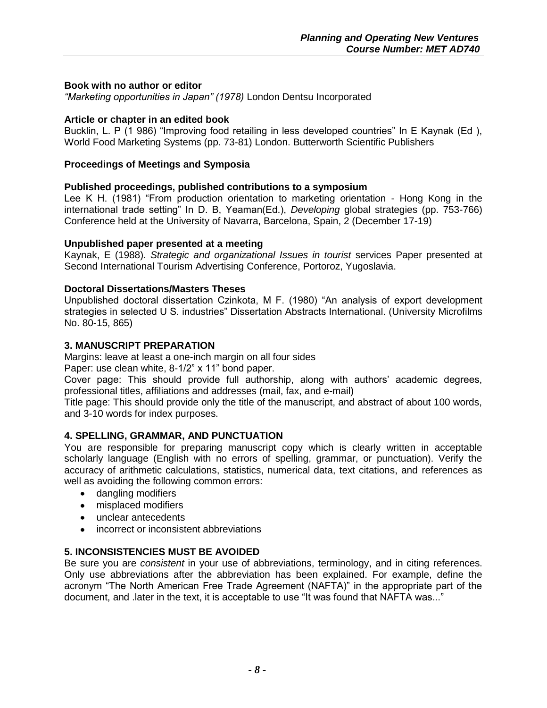#### **Book with no author or editor**

*"Marketing opportunities in Japan" (1978)* London Dentsu Incorporated

#### **Article or chapter in an edited book**

Bucklin, L. P (1 986) "Improving food retailing in less developed countries" In E Kaynak (Ed ), World Food Marketing Systems (pp. 73-81) London. Butterworth Scientific Publishers

#### **Proceedings of Meetings and Symposia**

#### **Published proceedings, published contributions to a symposium**

Lee K H. (1981) "From production orientation to marketing orientation - Hong Kong in the international trade setting" In D. B, Yeaman(Ed.), *Developing* global strategies (pp. 753-766) Conference held at the University of Navarra, Barcelona, Spain, 2 (December 17-19)

#### **Unpublished paper presented at a meeting**

Kaynak, E (1988). *Strategic and organizational Issues in tourist* services Paper presented at Second International Tourism Advertising Conference, Portoroz, Yugoslavia.

#### **Doctoral Dissertations/Masters Theses**

Unpublished doctoral dissertation Czinkota, M F. (1980) "An analysis of export development strategies in selected U S. industries" Dissertation Abstracts International. (University Microfilms No. 80-15, 865)

#### **3. MANUSCRIPT PREPARATION**

Margins: leave at least a one-inch margin on all four sides

Paper: use clean white, 8-1/2" x 11" bond paper.

Cover page: This should provide full authorship, along with authors' academic degrees, professional titles, affiliations and addresses (mail, fax, and e-mail)

Title page: This should provide only the title of the manuscript, and abstract of about 100 words, and 3-10 words for index purposes.

## **4. SPELLING, GRAMMAR, AND PUNCTUATION**

You are responsible for preparing manuscript copy which is clearly written in acceptable scholarly language (English with no errors of spelling, grammar, or punctuation). Verify the accuracy of arithmetic calculations, statistics, numerical data, text citations, and references as well as avoiding the following common errors:

- dangling modifiers
- misplaced modifiers
- unclear antecedents
- incorrect or inconsistent abbreviations

## **5. INCONSISTENCIES MUST BE AVOIDED**

Be sure you are *consistent* in your use of abbreviations, terminology, and in citing references. Only use abbreviations after the abbreviation has been explained. For example, define the acronym "The North American Free Trade Agreement (NAFTA)" in the appropriate part of the document, and .later in the text, it is acceptable to use "It was found that NAFTA was..."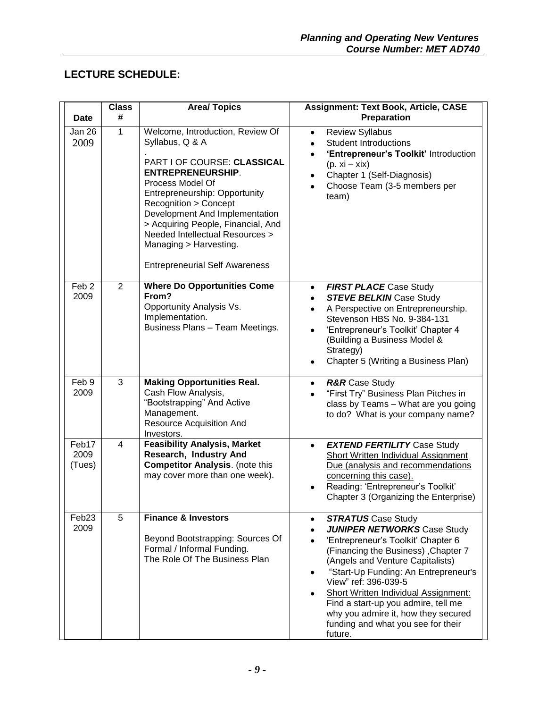## **LECTURE SCHEDULE:**

| <b>Date</b>               | <b>Class</b><br># | <b>Area/Topics</b>                                                                                                                                                                                                                                                                                                                                                                   | <b>Assignment: Text Book, Article, CASE</b><br>Preparation                                                                                                                                                                                                                                                                                                                                                                                  |
|---------------------------|-------------------|--------------------------------------------------------------------------------------------------------------------------------------------------------------------------------------------------------------------------------------------------------------------------------------------------------------------------------------------------------------------------------------|---------------------------------------------------------------------------------------------------------------------------------------------------------------------------------------------------------------------------------------------------------------------------------------------------------------------------------------------------------------------------------------------------------------------------------------------|
| Jan 26<br>2009            | 1                 | Welcome, Introduction, Review Of<br>Syllabus, Q & A<br>PART I OF COURSE: CLASSICAL<br><b>ENTREPRENEURSHIP.</b><br>Process Model Of<br>Entrepreneurship: Opportunity<br>Recognition > Concept<br>Development And Implementation<br>> Acquiring People, Financial, And<br><b>Needed Intellectual Resources &gt;</b><br>Managing > Harvesting.<br><b>Entrepreneurial Self Awareness</b> | <b>Review Syllabus</b><br>$\bullet$<br><b>Student Introductions</b><br>$\bullet$<br>'Entrepreneur's Toolkit' Introduction<br>$\bullet$<br>$(p. xi - xix)$<br>Chapter 1 (Self-Diagnosis)<br>٠<br>Choose Team (3-5 members per<br>$\bullet$<br>team)                                                                                                                                                                                          |
| Feb <sub>2</sub><br>2009  | 2                 | <b>Where Do Opportunities Come</b><br>From?<br>Opportunity Analysis Vs.<br>Implementation.<br>Business Plans - Team Meetings.                                                                                                                                                                                                                                                        | <b>FIRST PLACE Case Study</b><br>$\bullet$<br><b>STEVE BELKIN Case Study</b><br>A Perspective on Entrepreneurship.<br>$\bullet$<br>Stevenson HBS No. 9-384-131<br>'Entrepreneur's Toolkit' Chapter 4<br>(Building a Business Model &<br>Strategy)<br>Chapter 5 (Writing a Business Plan)<br>$\bullet$                                                                                                                                       |
| Feb 9<br>2009             | 3                 | <b>Making Opportunities Real.</b><br>Cash Flow Analysis,<br>"Bootstrapping" And Active<br>Management.<br><b>Resource Acquisition And</b><br>Investors.                                                                                                                                                                                                                               | <b>R&amp;R</b> Case Study<br>$\bullet$<br>"First Try" Business Plan Pitches in<br>$\bullet$<br>class by Teams - What are you going<br>to do? What is your company name?                                                                                                                                                                                                                                                                     |
| Feb17<br>2009<br>(Tues)   | 4                 | <b>Feasibility Analysis, Market</b><br>Research, Industry And<br><b>Competitor Analysis.</b> (note this<br>may cover more than one week).                                                                                                                                                                                                                                            | <b>EXTEND FERTILITY Case Study</b><br>$\bullet$<br><b>Short Written Individual Assignment</b><br>Due (analysis and recommendations<br>concerning this case).<br>Reading: 'Entrepreneur's Toolkit'<br>Chapter 3 (Organizing the Enterprise)                                                                                                                                                                                                  |
| Feb <sub>23</sub><br>2009 | 5                 | <b>Finance &amp; Investors</b><br>Beyond Bootstrapping: Sources Of<br>Formal / Informal Funding.<br>The Role Of The Business Plan                                                                                                                                                                                                                                                    | <b>STRATUS</b> Case Study<br>$\bullet$<br><b>JUNIPER NETWORKS Case Study</b><br>'Entrepreneur's Toolkit' Chapter 6<br>(Financing the Business), Chapter 7<br>(Angels and Venture Capitalists)<br>"Start-Up Funding: An Entrepreneur's<br>View" ref: 396-039-5<br><b>Short Written Individual Assignment:</b><br>Find a start-up you admire, tell me<br>why you admire it, how they secured<br>funding and what you see for their<br>future. |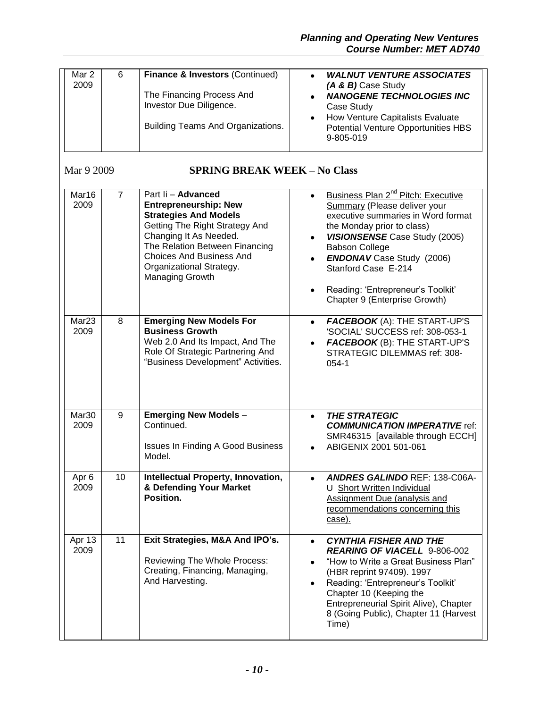| Mar 2<br>2009             | 6              | Finance & Investors (Continued)<br>The Financing Process And<br>Investor Due Diligence.<br>Building Teams And Organizations.                                                                                                                                              | <b>WALNUT VENTURE ASSOCIATES</b><br>$\bullet$<br>(A & B) Case Study<br><b>NANOGENE TECHNOLOGIES INC</b><br>$\bullet$<br>Case Study<br>How Venture Capitalists Evaluate<br>$\bullet$<br>Potential Venture Opportunities HBS<br>9-805-019                                                                                                                                               |
|---------------------------|----------------|---------------------------------------------------------------------------------------------------------------------------------------------------------------------------------------------------------------------------------------------------------------------------|---------------------------------------------------------------------------------------------------------------------------------------------------------------------------------------------------------------------------------------------------------------------------------------------------------------------------------------------------------------------------------------|
| Mar 9 2009                |                | <b>SPRING BREAK WEEK - No Class</b>                                                                                                                                                                                                                                       |                                                                                                                                                                                                                                                                                                                                                                                       |
| Mar16<br>2009             | $\overline{7}$ | Part Ii - Advanced<br><b>Entrepreneurship: New</b><br><b>Strategies And Models</b><br>Getting The Right Strategy And<br>Changing It As Needed.<br>The Relation Between Financing<br><b>Choices And Business And</b><br>Organizational Strategy.<br><b>Managing Growth</b> | Business Plan 2 <sup>nd</sup> Pitch: Executive<br>$\bullet$<br><b>Summary (Please deliver your</b><br>executive summaries in Word format<br>the Monday prior to class)<br><b>VISIONSENSE</b> Case Study (2005)<br>$\bullet$<br><b>Babson College</b><br><b>ENDONAV</b> Case Study (2006)<br>Stanford Case E-214<br>Reading: 'Entrepreneur's Toolkit'<br>Chapter 9 (Enterprise Growth) |
| Mar <sub>23</sub><br>2009 | 8              | <b>Emerging New Models For</b><br><b>Business Growth</b><br>Web 2.0 And Its Impact, And The<br>Role Of Strategic Partnering And<br>"Business Development" Activities.                                                                                                     | FACEBOOK (A): THE START-UP'S<br>$\bullet$<br>'SOCIAL' SUCCESS ref: 308-053-1<br>FACEBOOK (B): THE START-UP'S<br>$\bullet$<br>STRATEGIC DILEMMAS ref: 308-<br>$054 - 1$                                                                                                                                                                                                                |
| Mar30<br>2009             | 9              | <b>Emerging New Models -</b><br>Continued.<br><b>Issues In Finding A Good Business</b><br>Model.                                                                                                                                                                          | <b>THE STRATEGIC</b><br><b>COMMUNICATION IMPERATIVE ref:</b><br>SMR46315 [available through ECCH]<br>ABIGENIX 2001 501-061                                                                                                                                                                                                                                                            |
| Apr <sub>6</sub><br>2009  | 10             | Intellectual Property, Innovation,<br>& Defending Your Market<br>Position.                                                                                                                                                                                                | <b>ANDRES GALINDO REF: 138-C06A-</b><br>U Short Written Individual<br>Assignment Due (analysis and<br>recommendations concerning this<br>case).                                                                                                                                                                                                                                       |
| Apr 13<br>2009            | 11             | Exit Strategies, M&A And IPO's.<br>Reviewing The Whole Process:<br>Creating, Financing, Managing,<br>And Harvesting.                                                                                                                                                      | <b>CYNTHIA FISHER AND THE</b><br>$\bullet$<br><b>REARING OF VIACELL 9-806-002</b><br>"How to Write a Great Business Plan"<br>(HBR reprint 97409). 1997<br>Reading: 'Entrepreneur's Toolkit'<br>Chapter 10 (Keeping the<br>Entrepreneurial Spirit Alive), Chapter<br>8 (Going Public), Chapter 11 (Harvest<br>Time)                                                                    |